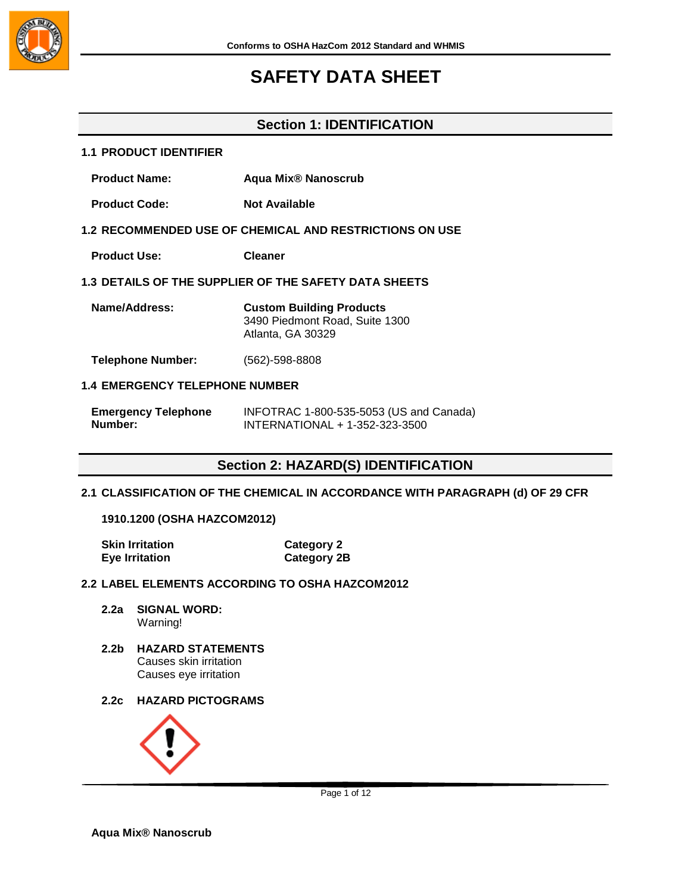

## **Section 1: IDENTIFICATION**

## **1.1 PRODUCT IDENTIFIER**

- **Product Name: Aqua Mix® Nanoscrub**
- **Product Code:** Not Available

### **1.2 RECOMMENDED USE OF CHEMICAL AND RESTRICTIONS ON USE**

**Product Use: Cleaner**

## **1.3 DETAILS OF THE SUPPLIER OF THE SAFETY DATA SHEETS**

| Name/Address: | <b>Custom Building Products</b> |
|---------------|---------------------------------|
|               | 3490 Piedmont Road, Suite 1300  |
|               | Atlanta, GA 30329               |

**Telephone Number:** (562)-598-8808

### **1.4 EMERGENCY TELEPHONE NUMBER**

| <b>Emergency Telephone</b> | INFOTRAC 1-800-535-5053 (US and Canada) |
|----------------------------|-----------------------------------------|
| Number:                    | INTERNATIONAL + 1-352-323-3500          |

## **Section 2: HAZARD(S) IDENTIFICATION**

### **2.1 CLASSIFICATION OF THE CHEMICAL IN ACCORDANCE WITH PARAGRAPH (d) OF 29 CFR**

#### **1910.1200 (OSHA HAZCOM2012)**

| <b>Skin Irritation</b> | <b>Category 2</b>  |
|------------------------|--------------------|
| <b>Eye Irritation</b>  | <b>Category 2B</b> |

## **2.2 LABEL ELEMENTS ACCORDING TO OSHA HAZCOM2012**

- **2.2a SIGNAL WORD:** Warning!
- **2.2b HAZARD STATEMENTS** Causes skin irritation Causes eye irritation
- **2.2c HAZARD PICTOGRAMS**

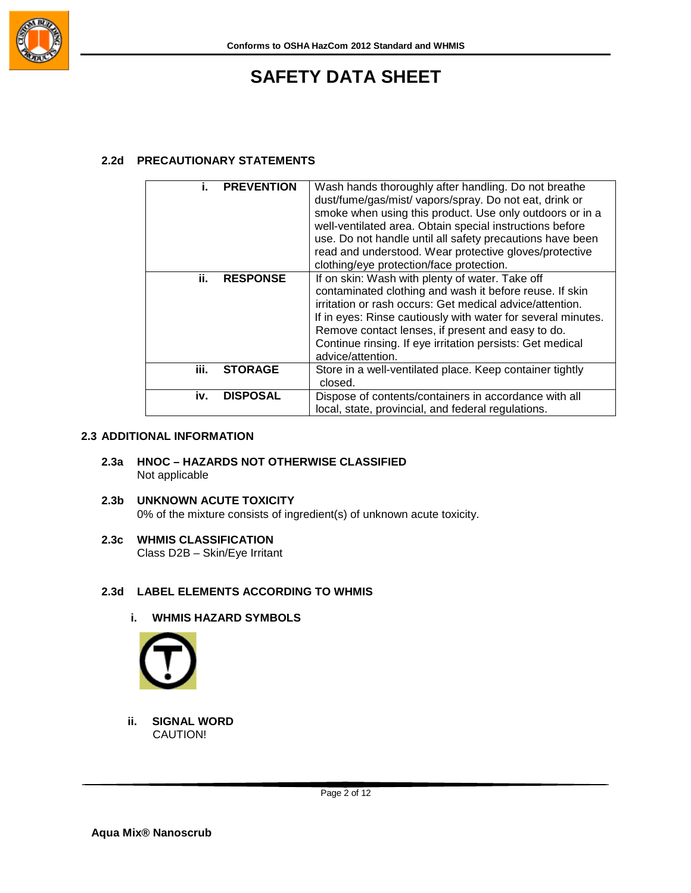

## **2.2d PRECAUTIONARY STATEMENTS**

|      | <b>PREVENTION</b> | Wash hands thoroughly after handling. Do not breathe<br>dust/fume/gas/mist/ vapors/spray. Do not eat, drink or<br>smoke when using this product. Use only outdoors or in a<br>well-ventilated area. Obtain special instructions before<br>use. Do not handle until all safety precautions have been<br>read and understood. Wear protective gloves/protective<br>clothing/eye protection/face protection. |
|------|-------------------|-----------------------------------------------------------------------------------------------------------------------------------------------------------------------------------------------------------------------------------------------------------------------------------------------------------------------------------------------------------------------------------------------------------|
| ii.  | <b>RESPONSE</b>   | If on skin: Wash with plenty of water. Take off<br>contaminated clothing and wash it before reuse. If skin<br>irritation or rash occurs: Get medical advice/attention.<br>If in eyes: Rinse cautiously with water for several minutes.<br>Remove contact lenses, if present and easy to do.<br>Continue rinsing. If eye irritation persists: Get medical<br>advice/attention.                             |
| iii. | <b>STORAGE</b>    | Store in a well-ventilated place. Keep container tightly<br>closed.                                                                                                                                                                                                                                                                                                                                       |
| iv.  | <b>DISPOSAL</b>   | Dispose of contents/containers in accordance with all<br>local, state, provincial, and federal regulations.                                                                                                                                                                                                                                                                                               |

## **2.3 ADDITIONAL INFORMATION**

- **2.3a HNOC – HAZARDS NOT OTHERWISE CLASSIFIED** Not applicable
- **2.3b UNKNOWN ACUTE TOXICITY** 0% of the mixture consists of ingredient(s) of unknown acute toxicity.
- **2.3c WHMIS CLASSIFICATION**

Class D2B – Skin/Eye Irritant

## **2.3d LABEL ELEMENTS ACCORDING TO WHMIS**

**i. WHMIS HAZARD SYMBOLS**



**ii. SIGNAL WORD** CAUTION!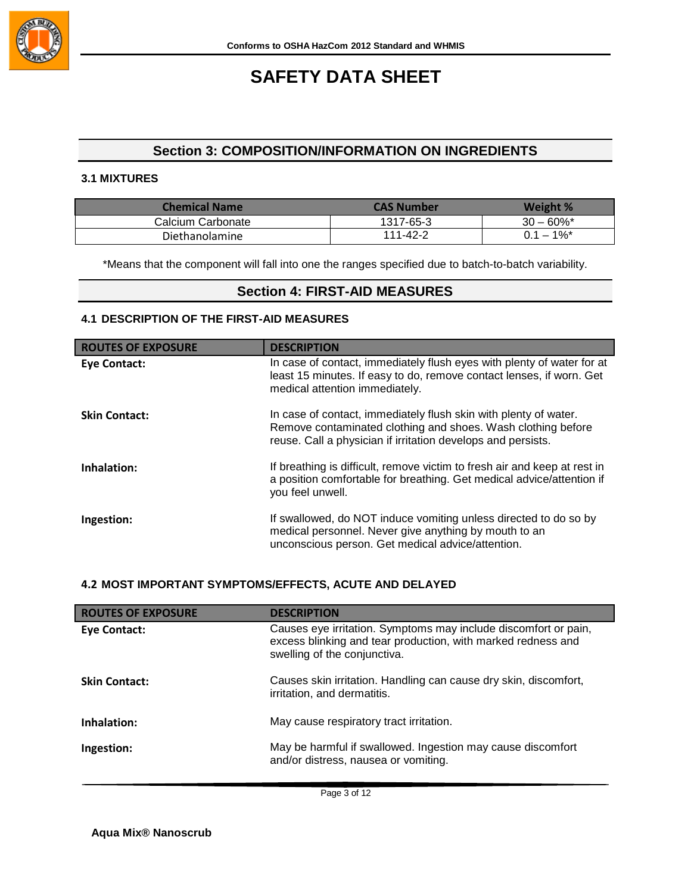

## **Section 3: COMPOSITION/INFORMATION ON INGREDIENTS**

### **3.1 MIXTURES**

| Chemical Name     | CAS Number | Weight %                 |
|-------------------|------------|--------------------------|
| Calcium Carbonate | 1317-65-3  | $30 - 60\%$ *            |
| Diethanolamine    | 111-42-2   | $0.1 - 1\%$ <sup>*</sup> |

\*Means that the component will fall into one the ranges specified due to batch-to-batch variability.

## **Section 4: FIRST-AID MEASURES**

## **4.1 DESCRIPTION OF THE FIRST-AID MEASURES**

| <b>ROUTES OF EXPOSURE</b> | <b>DESCRIPTION</b>                                                                                                                                                                               |
|---------------------------|--------------------------------------------------------------------------------------------------------------------------------------------------------------------------------------------------|
| Eye Contact:              | In case of contact, immediately flush eyes with plenty of water for at<br>least 15 minutes. If easy to do, remove contact lenses, if worn. Get<br>medical attention immediately.                 |
| <b>Skin Contact:</b>      | In case of contact, immediately flush skin with plenty of water.<br>Remove contaminated clothing and shoes. Wash clothing before<br>reuse. Call a physician if irritation develops and persists. |
| Inhalation:               | If breathing is difficult, remove victim to fresh air and keep at rest in<br>a position comfortable for breathing. Get medical advice/attention if<br>you feel unwell.                           |
| Ingestion:                | If swallowed, do NOT induce vomiting unless directed to do so by<br>medical personnel. Never give anything by mouth to an<br>unconscious person. Get medical advice/attention.                   |

### **4.2 MOST IMPORTANT SYMPTOMS/EFFECTS, ACUTE AND DELAYED**

| <b>ROUTES OF EXPOSURE</b> | <b>DESCRIPTION</b>                                                                                                                                              |
|---------------------------|-----------------------------------------------------------------------------------------------------------------------------------------------------------------|
| Eye Contact:              | Causes eye irritation. Symptoms may include discomfort or pain,<br>excess blinking and tear production, with marked redness and<br>swelling of the conjunctiva. |
| <b>Skin Contact:</b>      | Causes skin irritation. Handling can cause dry skin, discomfort,<br>irritation, and dermatitis.                                                                 |
| Inhalation:               | May cause respiratory tract irritation.                                                                                                                         |
| Ingestion:                | May be harmful if swallowed. Ingestion may cause discomfort<br>and/or distress, nausea or vomiting.                                                             |

Page 3 of 12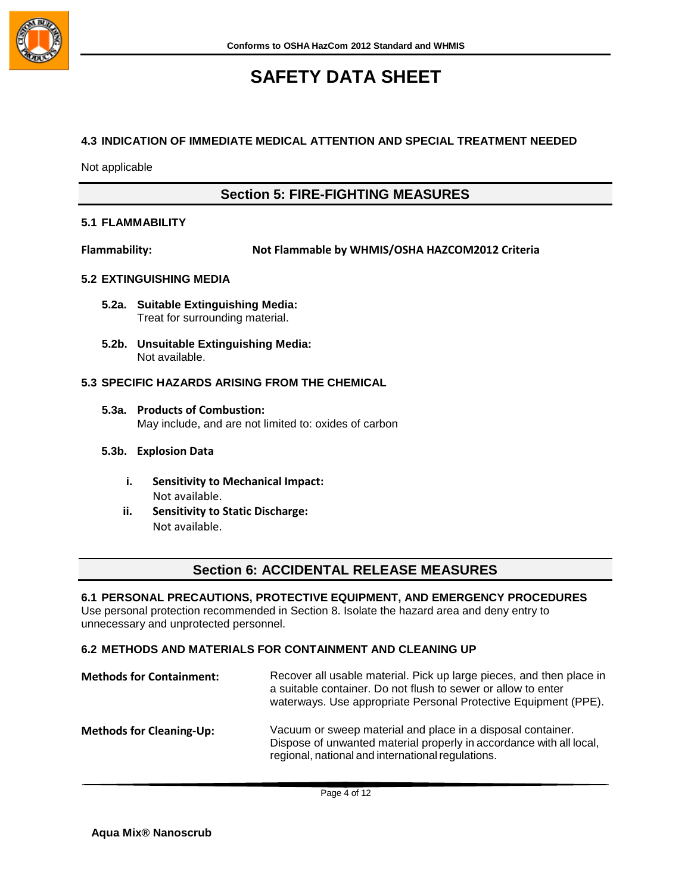

### **4.3 INDICATION OF IMMEDIATE MEDICAL ATTENTION AND SPECIAL TREATMENT NEEDED**

Not applicable

## **Section 5: FIRE-FIGHTING MEASURES**

## **5.1 FLAMMABILITY**

**Flammability: Not Flammable by WHMIS/OSHA HAZCOM2012 Criteria**

### **5.2 EXTINGUISHING MEDIA**

- **5.2a. Suitable Extinguishing Media:** Treat for surrounding material.
- **5.2b. Unsuitable Extinguishing Media:** Not available.

### **5.3 SPECIFIC HAZARDS ARISING FROM THE CHEMICAL**

**5.3a. Products of Combustion:** May include, and are not limited to: oxides of carbon

### **5.3b. Explosion Data**

- **i. Sensitivity to Mechanical Impact:** Not available.
- **ii. Sensitivity to Static Discharge:** Not available.

## **Section 6: ACCIDENTAL RELEASE MEASURES**

### **6.1 PERSONAL PRECAUTIONS, PROTECTIVE EQUIPMENT, AND EMERGENCY PROCEDURES**

Use personal protection recommended in Section 8. Isolate the hazard area and deny entry to unnecessary and unprotected personnel.

### **6.2 METHODS AND MATERIALS FOR CONTAINMENT AND CLEANING UP**

| <b>Methods for Containment:</b> | Recover all usable material. Pick up large pieces, and then place in<br>a suitable container. Do not flush to sewer or allow to enter<br>waterways. Use appropriate Personal Protective Equipment (PPE). |
|---------------------------------|----------------------------------------------------------------------------------------------------------------------------------------------------------------------------------------------------------|
| <b>Methods for Cleaning-Up:</b> | Vacuum or sweep material and place in a disposal container.<br>Dispose of unwanted material properly in accordance with all local,<br>regional, national and international regulations.                  |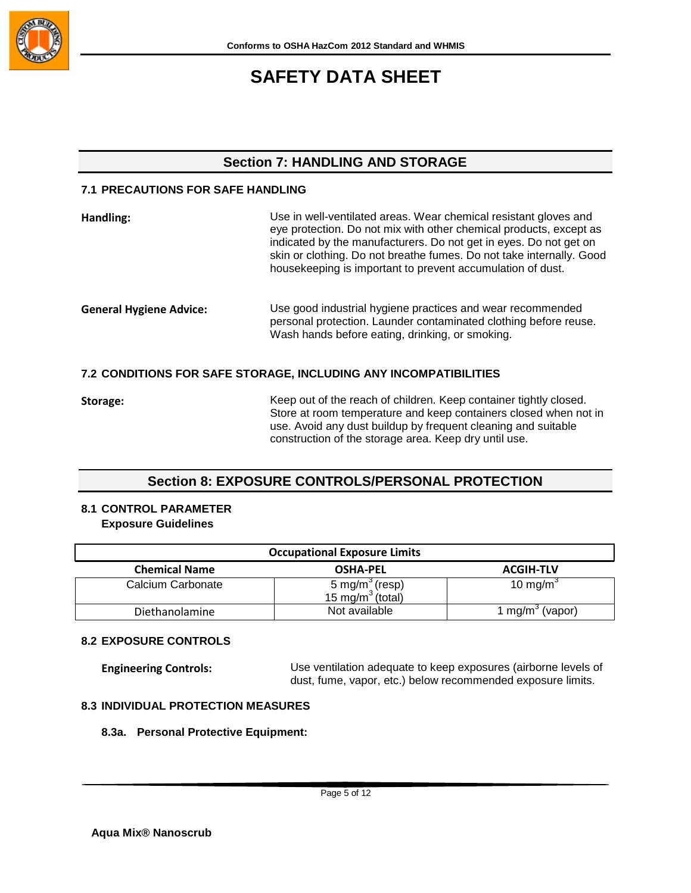

## **Section 7: HANDLING AND STORAGE**

## **7.1 PRECAUTIONS FOR SAFE HANDLING**

| Handling:                                                        | Use in well-ventilated areas. Wear chemical resistant gloves and<br>eye protection. Do not mix with other chemical products, except as<br>indicated by the manufacturers. Do not get in eyes. Do not get on<br>skin or clothing. Do not breathe fumes. Do not take internally. Good<br>housekeeping is important to prevent accumulation of dust. |
|------------------------------------------------------------------|---------------------------------------------------------------------------------------------------------------------------------------------------------------------------------------------------------------------------------------------------------------------------------------------------------------------------------------------------|
| <b>General Hygiene Advice:</b>                                   | Use good industrial hygiene practices and wear recommended<br>personal protection. Launder contaminated clothing before reuse.<br>Wash hands before eating, drinking, or smoking.                                                                                                                                                                 |
| 7.2 CONDITIONS FOR SAFE STORAGE, INCLUDING ANY INCOMPATIBILITIES |                                                                                                                                                                                                                                                                                                                                                   |

**Storage:** Keep out of the reach of children. Keep container tightly closed. Store at room temperature and keep containers closed when not in use. Avoid any dust buildup by frequent cleaning and suitable construction of the storage area. Keep dry until use.

## **Section 8: EXPOSURE CONTROLS/PERSONAL PROTECTION**

## **8.1 CONTROL PARAMETER Exposure Guidelines**

| <b>Occupational Exposure Limits</b> |                                                            |                             |
|-------------------------------------|------------------------------------------------------------|-----------------------------|
| <b>Chemical Name</b>                | <b>OSHA-PEL</b>                                            | <b>ACGIH-TLV</b>            |
| Calcium Carbonate                   | 5 mg/m <sup>3</sup> (resp)<br>15 mg/m <sup>3</sup> (total) | 10 mg/m <sup>3</sup>        |
| Diethanolamine                      | Not available                                              | 1 mg/m <sup>3</sup> (vapor) |

## **8.2 EXPOSURE CONTROLS**

**Engineering Controls:** Use ventilation adequate to keep exposures (airborne levels of dust, fume, vapor, etc.) below recommended exposure limits.

## **8.3 INDIVIDUAL PROTECTION MEASURES**

### **8.3a. Personal Protective Equipment:**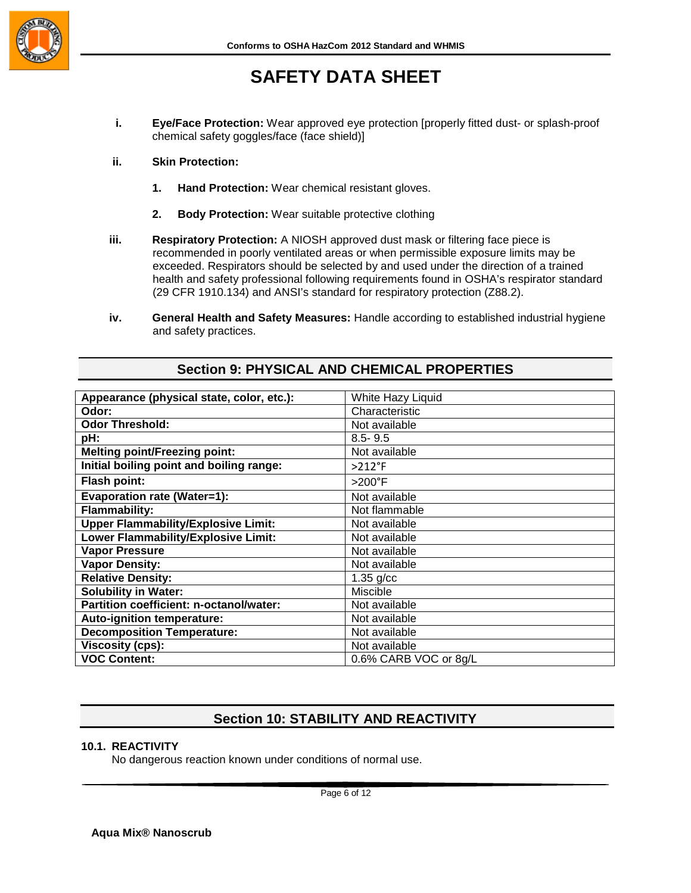

- **i. Eye/Face Protection:** Wear approved eye protection [properly fitted dust- or splash-proof chemical safety goggles/face (face shield)]
- **ii. Skin Protection:**
	- **1. Hand Protection:** Wear chemical resistant gloves.
	- **2. Body Protection:** Wear suitable protective clothing
- **iii. Respiratory Protection:** A NIOSH approved dust mask or filtering face piece is recommended in poorly ventilated areas or when permissible exposure limits may be exceeded. Respirators should be selected by and used under the direction of a trained health and safety professional following requirements found in OSHA's respirator standard (29 CFR 1910.134) and ANSI's standard for respiratory protection (Z88.2).
- **iv. General Health and Safety Measures:** Handle according to established industrial hygiene and safety practices.

| Appearance (physical state, color, etc.):  | White Hazy Liquid     |
|--------------------------------------------|-----------------------|
| Odor:                                      | Characteristic        |
| <b>Odor Threshold:</b>                     | Not available         |
| pH:                                        | $8.5 - 9.5$           |
| <b>Melting point/Freezing point:</b>       | Not available         |
| Initial boiling point and boiling range:   | $>212$ °F             |
| <b>Flash point:</b>                        | $>200^\circ F$        |
| <b>Evaporation rate (Water=1):</b>         | Not available         |
| <b>Flammability:</b>                       | Not flammable         |
| <b>Upper Flammability/Explosive Limit:</b> | Not available         |
| Lower Flammability/Explosive Limit:        | Not available         |
| <b>Vapor Pressure</b>                      | Not available         |
| <b>Vapor Density:</b>                      | Not available         |
| <b>Relative Density:</b>                   | $1.35$ g/cc           |
| <b>Solubility in Water:</b>                | Miscible              |
| Partition coefficient: n-octanol/water:    | Not available         |
| Auto-ignition temperature:                 | Not available         |
| <b>Decomposition Temperature:</b>          | Not available         |
| <b>Viscosity (cps):</b>                    | Not available         |
| <b>VOC Content:</b>                        | 0.6% CARB VOC or 8g/L |

## **Section 9: PHYSICAL AND CHEMICAL PROPERTIES**

## **Section 10: STABILITY AND REACTIVITY**

### **10.1. REACTIVITY**

No dangerous reaction known under conditions of normal use.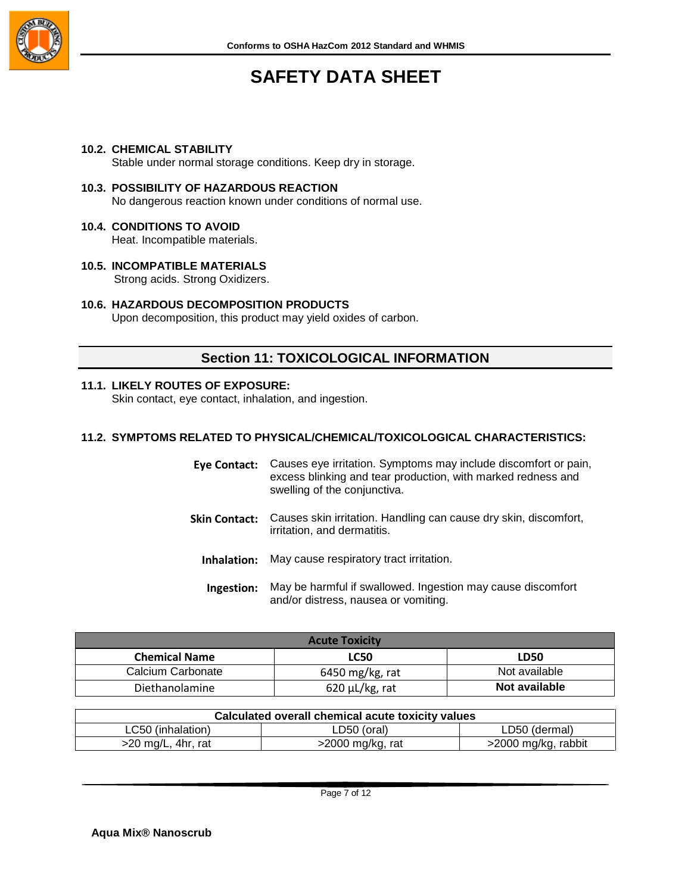

#### **10.2. CHEMICAL STABILITY**

Stable under normal storage conditions. Keep dry in storage.

- **10.3. POSSIBILITY OF HAZARDOUS REACTION** No dangerous reaction known under conditions of normal use.
- **10.4. CONDITIONS TO AVOID** Heat. Incompatible materials.
- **10.5. INCOMPATIBLE MATERIALS** Strong acids. Strong Oxidizers.
- **10.6. HAZARDOUS DECOMPOSITION PRODUCTS**

Upon decomposition, this product may yield oxides of carbon.

## **Section 11: TOXICOLOGICAL INFORMATION**

#### **11.1. LIKELY ROUTES OF EXPOSURE:**

Skin contact, eye contact, inhalation, and ingestion.

#### **11.2. SYMPTOMS RELATED TO PHYSICAL/CHEMICAL/TOXICOLOGICAL CHARACTERISTICS:**

| Eye Contact:         | Causes eye irritation. Symptoms may include discomfort or pain,<br>excess blinking and tear production, with marked redness and<br>swelling of the conjunctiva. |
|----------------------|-----------------------------------------------------------------------------------------------------------------------------------------------------------------|
| <b>Skin Contact:</b> | Causes skin irritation. Handling can cause dry skin, discomfort,<br>irritation, and dermatitis.                                                                 |
| Inhalation:          | May cause respiratory tract irritation.                                                                                                                         |
| Ingestion:           | May be harmful if swallowed. Ingestion may cause discomfort<br>and/or distress, nausea or vomiting.                                                             |

| <b>Acute Toxicity</b>               |                      |               |
|-------------------------------------|----------------------|---------------|
| <b>Chemical Name</b><br><b>LC50</b> |                      | LD50          |
| Calcium Carbonate                   | 6450 mg/kg, rat      | Not available |
| Diethanolamine                      | $620 \mu L/kg$ , rat | Not available |

| Calculated overall chemical acute toxicity values                |             |               |  |
|------------------------------------------------------------------|-------------|---------------|--|
| LC50 (inhalation)                                                | LD50 (oral) | LD50 (dermal) |  |
| >2000 mg/kg, rabbit<br>>2000 mg/kg, rat<br>$>$ 20 mg/L, 4hr, rat |             |               |  |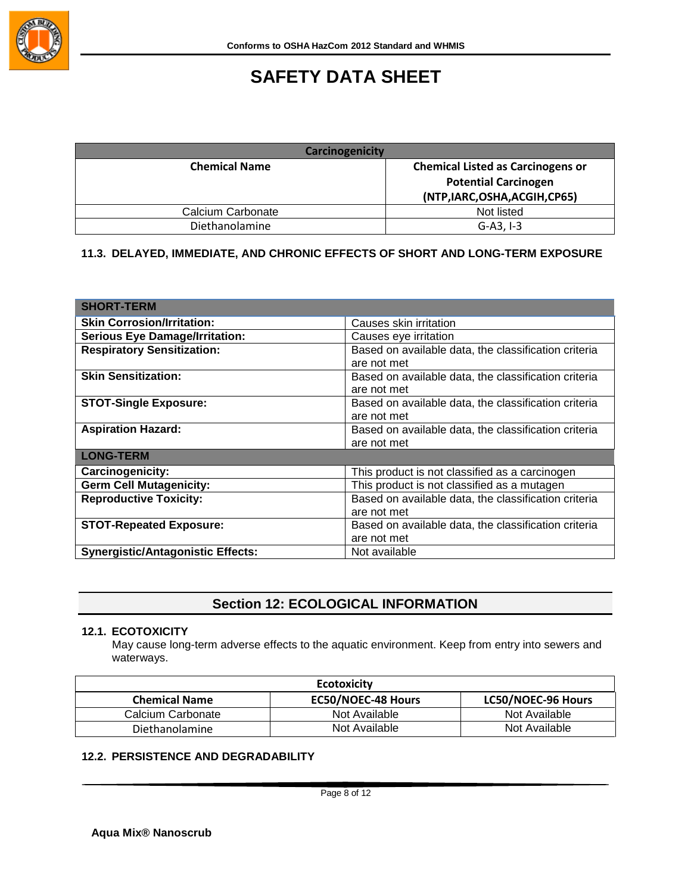

| <b>Carcinogenicity</b> |                                          |
|------------------------|------------------------------------------|
| <b>Chemical Name</b>   | <b>Chemical Listed as Carcinogens or</b> |
|                        | <b>Potential Carcinogen</b>              |
|                        | (NTP, IARC, OSHA, ACGIH, CP65)           |
| Calcium Carbonate      | Not listed                               |
| Diethanolamine         | $G-A3.1-3$                               |

## **11.3. DELAYED, IMMEDIATE, AND CHRONIC EFFECTS OF SHORT AND LONG-TERM EXPOSURE**

| <b>SHORT-TERM</b>                        |                                                      |
|------------------------------------------|------------------------------------------------------|
| <b>Skin Corrosion/Irritation:</b>        | Causes skin irritation                               |
| <b>Serious Eye Damage/Irritation:</b>    | Causes eye irritation                                |
| <b>Respiratory Sensitization:</b>        | Based on available data, the classification criteria |
|                                          | are not met                                          |
| <b>Skin Sensitization:</b>               | Based on available data, the classification criteria |
|                                          | are not met                                          |
| <b>STOT-Single Exposure:</b>             | Based on available data, the classification criteria |
|                                          | are not met                                          |
| <b>Aspiration Hazard:</b>                | Based on available data, the classification criteria |
|                                          | are not met                                          |
| <b>LONG-TERM</b>                         |                                                      |
| <b>Carcinogenicity:</b>                  | This product is not classified as a carcinogen       |
| <b>Germ Cell Mutagenicity:</b>           | This product is not classified as a mutagen          |
| <b>Reproductive Toxicity:</b>            | Based on available data, the classification criteria |
|                                          | are not met                                          |
| <b>STOT-Repeated Exposure:</b>           | Based on available data, the classification criteria |
|                                          | are not met                                          |
| <b>Synergistic/Antagonistic Effects:</b> | Not available                                        |

## **Section 12: ECOLOGICAL INFORMATION**

### **12.1. ECOTOXICITY**

May cause long-term adverse effects to the aquatic environment. Keep from entry into sewers and waterways.

| <b>Ecotoxicity</b>   |                           |                    |
|----------------------|---------------------------|--------------------|
| <b>Chemical Name</b> | <b>EC50/NOEC-48 Hours</b> | LC50/NOEC-96 Hours |
| Calcium Carbonate    | Not Available             | Not Available      |
| Diethanolamine       | Not Available             | Not Available      |

## **12.2. PERSISTENCE AND DEGRADABILITY**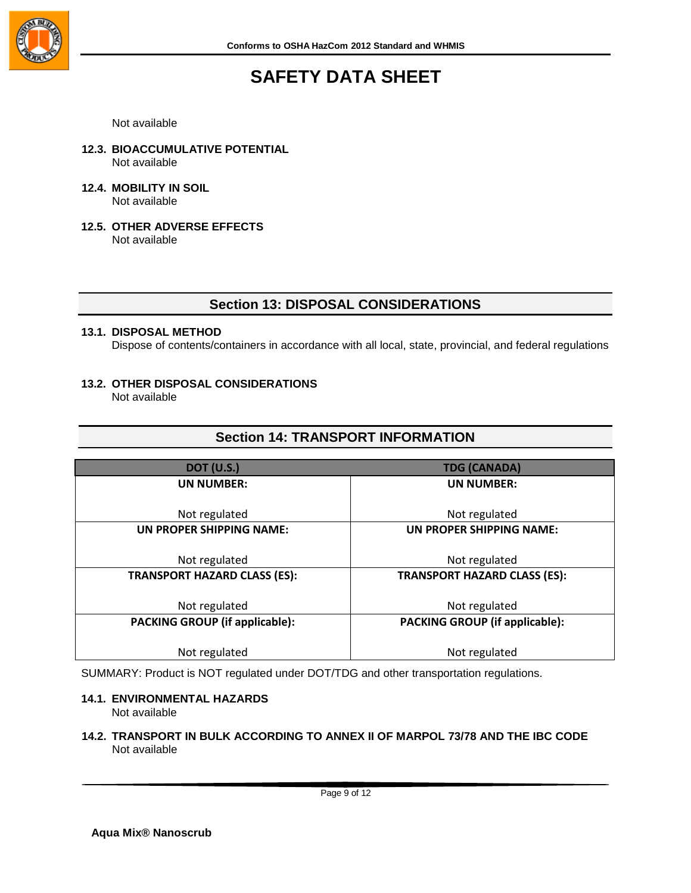

Not available

- **12.3. BIOACCUMULATIVE POTENTIAL** Not available
- **12.4. MOBILITY IN SOIL** Not available
- **12.5. OTHER ADVERSE EFFECTS** Not available

## **Section 13: DISPOSAL CONSIDERATIONS**

#### **13.1. DISPOSAL METHOD**

Dispose of contents/containers in accordance with all local, state, provincial, and federal regulations

#### **13.2. OTHER DISPOSAL CONSIDERATIONS** Not available

## **Section 14: TRANSPORT INFORMATION**

| <b>DOT (U.S.)</b>                     | <b>TDG (CANADA)</b>                   |  |
|---------------------------------------|---------------------------------------|--|
| <b>UN NUMBER:</b>                     | <b>UN NUMBER:</b>                     |  |
|                                       |                                       |  |
| Not regulated                         | Not regulated                         |  |
| UN PROPER SHIPPING NAME:              | UN PROPER SHIPPING NAME:              |  |
|                                       |                                       |  |
| Not regulated                         | Not regulated                         |  |
| <b>TRANSPORT HAZARD CLASS (ES):</b>   | <b>TRANSPORT HAZARD CLASS (ES):</b>   |  |
|                                       |                                       |  |
| Not regulated                         | Not regulated                         |  |
| <b>PACKING GROUP (if applicable):</b> | <b>PACKING GROUP (if applicable):</b> |  |
|                                       |                                       |  |
| Not regulated                         | Not regulated                         |  |

SUMMARY: Product is NOT regulated under DOT/TDG and other transportation regulations.

#### **14.1. ENVIRONMENTAL HAZARDS** Not available

## **14.2. TRANSPORT IN BULK ACCORDING TO ANNEX II OF MARPOL 73/78 AND THE IBC CODE** Not available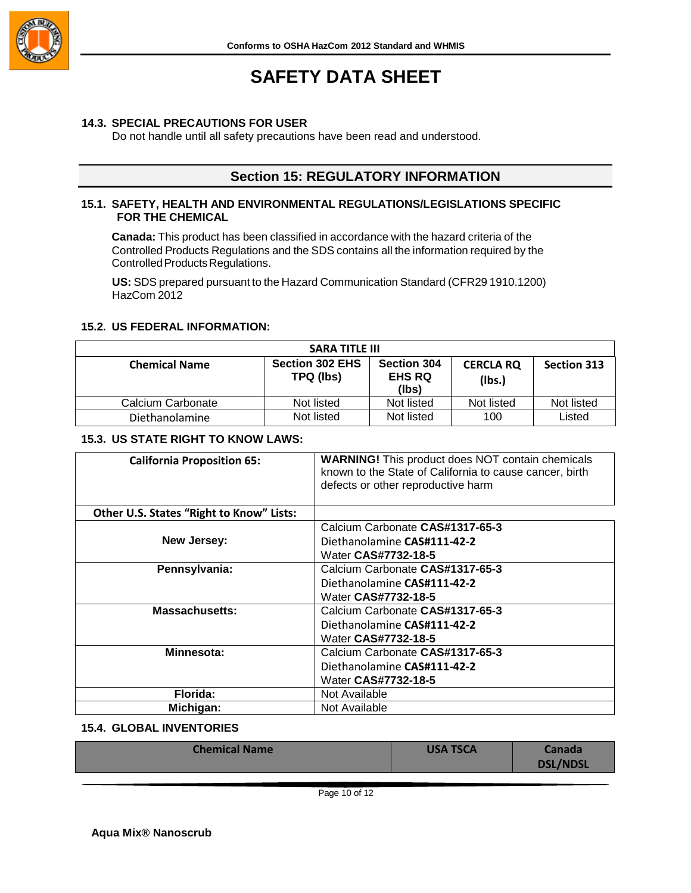

### **14.3. SPECIAL PRECAUTIONS FOR USER**

Do not handle until all safety precautions have been read and understood.

## **Section 15: REGULATORY INFORMATION**

## **15.1. SAFETY, HEALTH AND ENVIRONMENTAL REGULATIONS/LEGISLATIONS SPECIFIC FOR THE CHEMICAL**

**Canada:** This product has been classified in accordance with the hazard criteria of the Controlled Products Regulations and the SDS contains all the information required by the Controlled Products Regulations.

**US:** SDS prepared pursuant to the Hazard Communication Standard (CFR29 1910.1200) HazCom 2012

### **15.2. US FEDERAL INFORMATION:**

| <b>SARA TITLE III</b> |                                     |                                              |                            |                    |
|-----------------------|-------------------------------------|----------------------------------------------|----------------------------|--------------------|
| <b>Chemical Name</b>  | <b>Section 302 EHS</b><br>TPQ (lbs) | <b>Section 304</b><br><b>EHS RQ</b><br>(lbs) | <b>CERCLA RQ</b><br>(Ibs.) | <b>Section 313</b> |
| Calcium Carbonate     | Not listed                          | Not listed                                   | Not listed                 | Not listed         |
| Diethanolamine        | Not listed                          | Not listed                                   | 100                        | Listed             |

#### **15.3. US STATE RIGHT TO KNOW LAWS:**

| <b>California Proposition 65:</b>        | <b>WARNING!</b> This product does NOT contain chemicals<br>known to the State of California to cause cancer, birth<br>defects or other reproductive harm |  |
|------------------------------------------|----------------------------------------------------------------------------------------------------------------------------------------------------------|--|
| Other U.S. States "Right to Know" Lists: |                                                                                                                                                          |  |
|                                          | Calcium Carbonate CAS#1317-65-3                                                                                                                          |  |
| New Jersey:                              | Diethanolamine CAS#111-42-2                                                                                                                              |  |
|                                          | Water CAS#7732-18-5                                                                                                                                      |  |
| Pennsylvania:                            | Calcium Carbonate CAS#1317-65-3                                                                                                                          |  |
|                                          | Diethanolamine CAS#111-42-2                                                                                                                              |  |
|                                          | Water CAS#7732-18-5                                                                                                                                      |  |
| <b>Massachusetts:</b>                    | Calcium Carbonate CAS#1317-65-3                                                                                                                          |  |
|                                          | Diethanolamine CAS#111-42-2                                                                                                                              |  |
|                                          | Water CAS#7732-18-5                                                                                                                                      |  |
| Minnesota:                               | Calcium Carbonate CAS#1317-65-3                                                                                                                          |  |
|                                          | Diethanolamine CAS#111-42-2                                                                                                                              |  |
|                                          | Water CAS#7732-18-5                                                                                                                                      |  |
| Florida:                                 | Not Available                                                                                                                                            |  |
| Michigan:                                | Not Available                                                                                                                                            |  |

## **15.4. GLOBAL INVENTORIES**

| <b>Chemical Name</b> | <b>USA TSCA</b> | <b>Canada</b><br>DSL/NDSL |
|----------------------|-----------------|---------------------------|
|                      |                 |                           |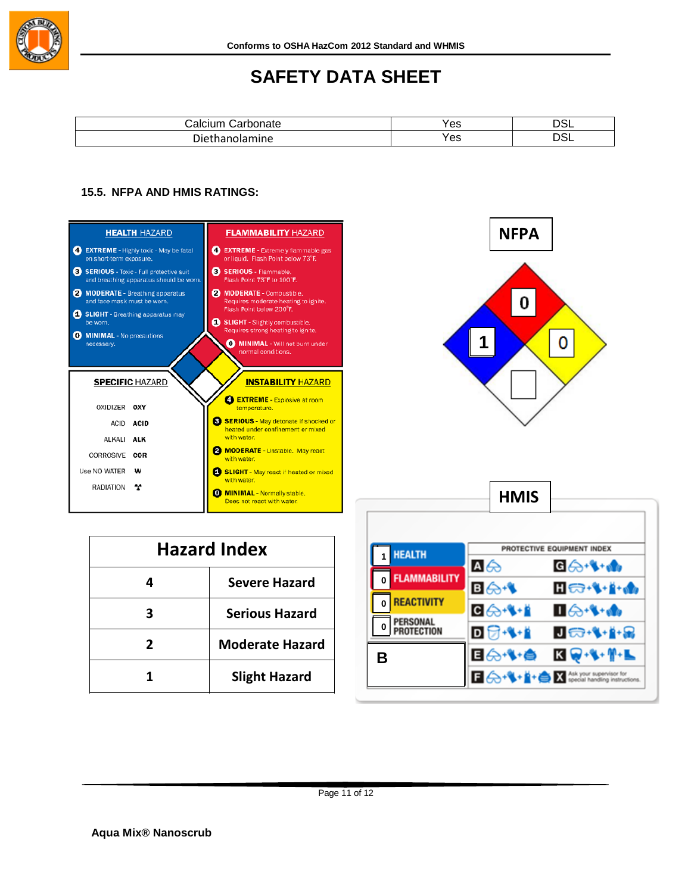

| ----<br>- | Yes | ີ    |
|-----------|-----|------|
| יוש<br>ше | Yes | ____ |

## **15.5. NFPA AND HMIS RATINGS:**





| <b>Hazard Index</b> |                        |  |
|---------------------|------------------------|--|
| 4                   | <b>Severe Hazard</b>   |  |
|                     | <b>Serious Hazard</b>  |  |
| 2                   | <b>Moderate Hazard</b> |  |
|                     | <b>Slight Hazard</b>   |  |